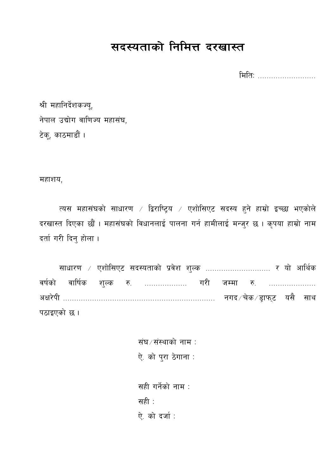# सदस्यताको निमित्त दरखास्त

मितिः ...........................

श्री महानिर्देशकज्यू, नेपाल उद्योग वाणिज्य महासंघ, टेकू, काठमाडौं ।

महाशय,

त्यस महासंघको साधारण / द्विराष्ट्रिय / एशोसिएट सदस्य हुने हाम्रो इच्छा भएकोले दरखास्त दिएका छौं । महासंघको विधानलाई पालना गर्न हामीलाई मन्जुर छ । कृपया हाम्रो नाम दर्ता गरी दिनु होला।

वर्षको वार्षिक शुल्क रु. .................. गरी जम्मा रु. .................... पठाइएको छ।

> संघ⁄संस्थाको नाम: ऐ. को पुरा ठेगाना :

सही गर्नेको नाम : सही $\pm$ ऐ. को दर्जा: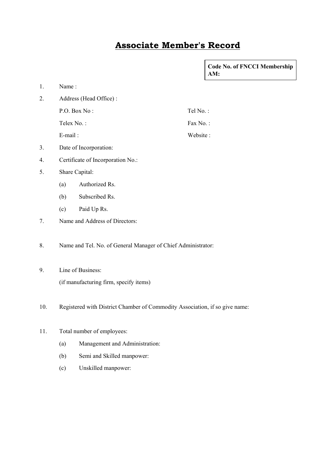## **Associate Member's Record**

|     |                                                                             |                                |          | <b>Code No. of FNCCI Membership</b><br>AM: |  |  |
|-----|-----------------------------------------------------------------------------|--------------------------------|----------|--------------------------------------------|--|--|
| 1.  | Name:                                                                       |                                |          |                                            |  |  |
| 2.  |                                                                             | Address (Head Office):         |          |                                            |  |  |
|     |                                                                             | P.O. Box No:                   | Tel No.: |                                            |  |  |
|     |                                                                             | Telex No.:                     | Fax No.: |                                            |  |  |
|     | E-mail:                                                                     |                                | Website: |                                            |  |  |
| 3.  | Date of Incorporation:                                                      |                                |          |                                            |  |  |
| 4.  | Certificate of Incorporation No.:                                           |                                |          |                                            |  |  |
| 5.  | Share Capital:                                                              |                                |          |                                            |  |  |
|     | (a)                                                                         | Authorized Rs.                 |          |                                            |  |  |
|     | (b)                                                                         | Subscribed Rs.                 |          |                                            |  |  |
|     | (c)                                                                         | Paid Up Rs.                    |          |                                            |  |  |
| 7.  |                                                                             | Name and Address of Directors: |          |                                            |  |  |
| 8.  | Name and Tel. No. of General Manager of Chief Administrator:                |                                |          |                                            |  |  |
| 9.  | Line of Business:                                                           |                                |          |                                            |  |  |
|     | (if manufacturing firm, specify items)                                      |                                |          |                                            |  |  |
| 10. | Registered with District Chamber of Commodity Association, if so give name: |                                |          |                                            |  |  |
| 11. | Total number of employees:                                                  |                                |          |                                            |  |  |
|     | (a)                                                                         | Management and Administration: |          |                                            |  |  |
|     | (b)                                                                         | Semi and Skilled manpower:     |          |                                            |  |  |
|     | (c)                                                                         | Unskilled manpower:            |          |                                            |  |  |
|     |                                                                             |                                |          |                                            |  |  |
|     |                                                                             |                                |          |                                            |  |  |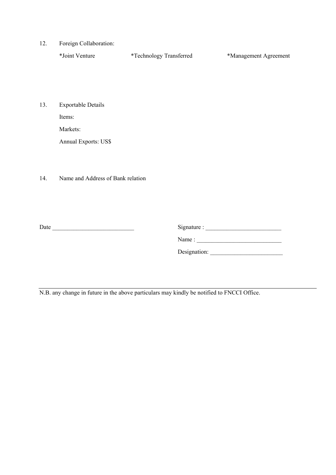12. Foreign Collaboration:

| *Joint Venture | <i>*</i> Technology Transferred | *Management Agreement |
|----------------|---------------------------------|-----------------------|
|                |                                 |                       |

13. Exportable Details

Items:

Markets:

Annual Exports: US\$

14. Name and Address of Bank relation

Date \_\_\_\_\_\_\_\_\_\_\_\_\_\_\_\_\_\_\_\_\_\_\_\_\_\_\_ Signature : \_\_\_\_\_\_\_\_\_\_\_\_\_\_\_\_\_\_\_\_\_\_\_\_\_

Name : \_\_\_\_\_\_\_\_\_\_\_\_\_\_\_\_\_\_\_\_\_\_\_\_\_\_\_\_

Designation: \_\_\_\_\_\_\_\_\_\_\_\_\_\_\_\_\_\_\_\_\_\_\_\_

N.B. any change in future in the above particulars may kindly be notified to FNCCI Office.